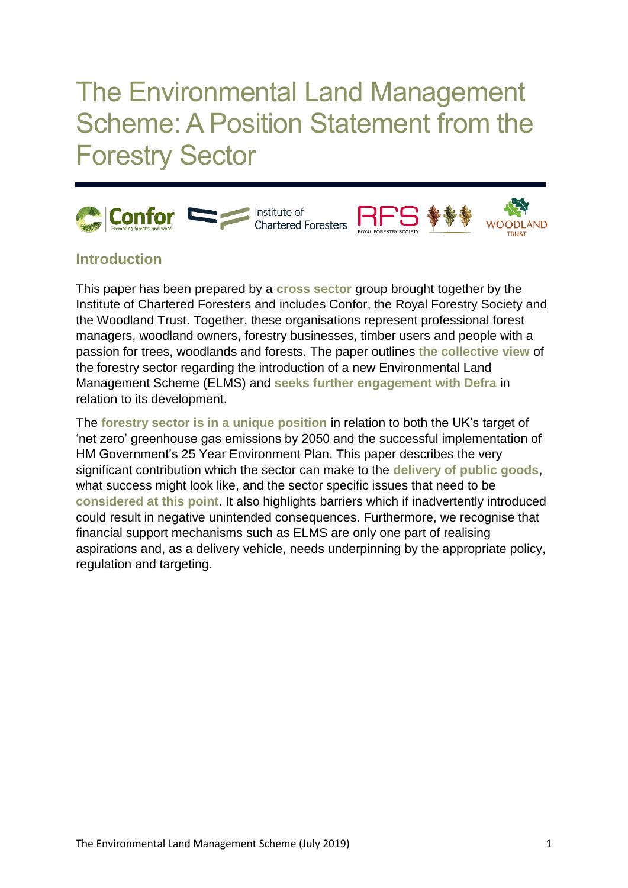The Environmental Land Management Scheme: A Position Statement from the Forestry Sector





## **Introduction**

This paper has been prepared by a **cross sector** group brought together by the Institute of Chartered Foresters and includes Confor, the Royal Forestry Society and the Woodland Trust. Together, these organisations represent professional forest managers, woodland owners, forestry businesses, timber users and people with a passion for trees, woodlands and forests. The paper outlines **the collective view** of the forestry sector regarding the introduction of a new Environmental Land Management Scheme (ELMS) and **seeks further engagement with Defra** in relation to its development.

The **forestry sector is in a unique position** in relation to both the UK's target of 'net zero' greenhouse gas emissions by 2050 and the successful implementation of HM Government's 25 Year Environment Plan. This paper describes the very significant contribution which the sector can make to the **delivery of public goods**, what success might look like, and the sector specific issues that need to be **considered at this point**. It also highlights barriers which if inadvertently introduced could result in negative unintended consequences. Furthermore, we recognise that financial support mechanisms such as ELMS are only one part of realising aspirations and, as a delivery vehicle, needs underpinning by the appropriate policy, regulation and targeting.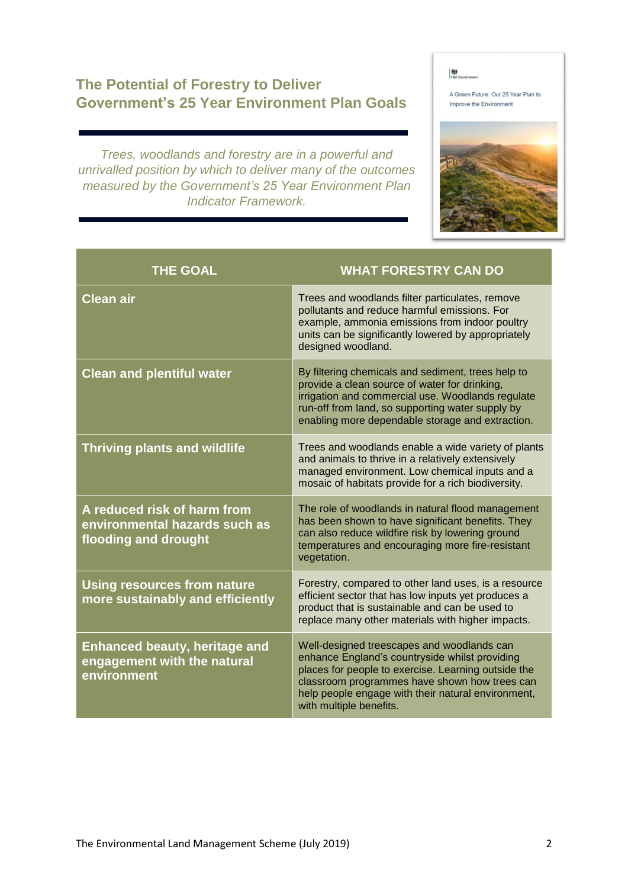## **The Potential of Forestry to Deliver Government's 25 Year Environment Plan Goals**

*Trees, woodlands and forestry are in a powerful and unrivalled position by which to deliver many of the outcomes measured by the Government's 25 Year Environment Plan Indicator Framework.*

**M** 

A Green Future: Our 25 Year Plan to Improve the Environment



| <b>THE GOAL</b>                                                                      | <b>WHAT FORESTRY CAN DO</b>                                                                                                                                                                                                                                                           |
|--------------------------------------------------------------------------------------|---------------------------------------------------------------------------------------------------------------------------------------------------------------------------------------------------------------------------------------------------------------------------------------|
| <b>Clean air</b>                                                                     | Trees and woodlands filter particulates, remove<br>pollutants and reduce harmful emissions. For<br>example, ammonia emissions from indoor poultry<br>units can be significantly lowered by appropriately<br>designed woodland.                                                        |
| <b>Clean and plentiful water</b>                                                     | By filtering chemicals and sediment, trees help to<br>provide a clean source of water for drinking,<br>irrigation and commercial use. Woodlands regulate<br>run-off from land, so supporting water supply by<br>enabling more dependable storage and extraction.                      |
| <b>Thriving plants and wildlife</b>                                                  | Trees and woodlands enable a wide variety of plants<br>and animals to thrive in a relatively extensively<br>managed environment. Low chemical inputs and a<br>mosaic of habitats provide for a rich biodiversity.                                                                     |
| A reduced risk of harm from<br>environmental hazards such as<br>flooding and drought | The role of woodlands in natural flood management<br>has been shown to have significant benefits. They<br>can also reduce wildfire risk by lowering ground<br>temperatures and encouraging more fire-resistant<br>vegetation.                                                         |
| <b>Using resources from nature</b><br>more sustainably and efficiently               | Forestry, compared to other land uses, is a resource<br>efficient sector that has low inputs yet produces a<br>product that is sustainable and can be used to<br>replace many other materials with higher impacts.                                                                    |
| <b>Enhanced beauty, heritage and</b><br>engagement with the natural<br>environment   | Well-designed treescapes and woodlands can<br>enhance England's countryside whilst providing<br>places for people to exercise. Learning outside the<br>classroom programmes have shown how trees can<br>help people engage with their natural environment,<br>with multiple benefits. |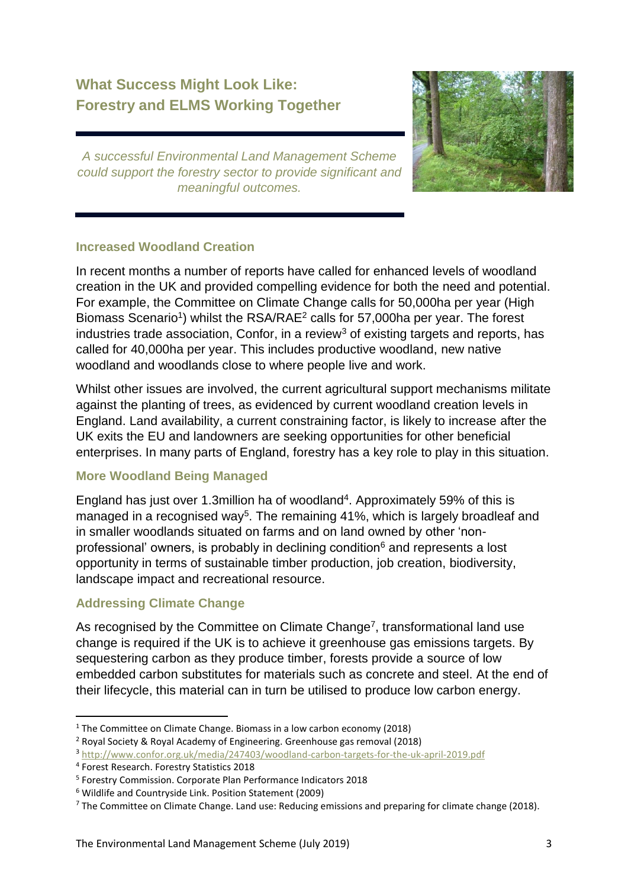# **What Success Might Look Like: Forestry and ELMS Working Together**



*A successful Environmental Land Management Scheme could support the forestry sector to provide significant and meaningful outcomes.*

#### **Increased Woodland Creation**

In recent months a number of reports have called for enhanced levels of woodland creation in the UK and provided compelling evidence for both the need and potential. For example, the Committee on Climate Change calls for 50,000ha per year (High Biomass Scenario<sup>1</sup>) whilst the RSA/RAE<sup>2</sup> calls for 57,000ha per year. The forest industries trade association, Confor, in a review<sup>3</sup> of existing targets and reports, has called for 40,000ha per year. This includes productive woodland, new native woodland and woodlands close to where people live and work.

Whilst other issues are involved, the current agricultural support mechanisms militate against the planting of trees, as evidenced by current woodland creation levels in England. Land availability, a current constraining factor, is likely to increase after the UK exits the EU and landowners are seeking opportunities for other beneficial enterprises. In many parts of England, forestry has a key role to play in this situation.

### **More Woodland Being Managed**

England has just over 1.3million ha of woodland<sup>4</sup>. Approximately 59% of this is managed in a recognised way<sup>5</sup>. The remaining 41%, which is largely broadleaf and in smaller woodlands situated on farms and on land owned by other 'nonprofessional' owners, is probably in declining condition $6$  and represents a lost opportunity in terms of sustainable timber production, job creation, biodiversity, landscape impact and recreational resource.

### **Addressing Climate Change**

As recognised by the Committee on Climate Change<sup>7</sup>, transformational land use change is required if the UK is to achieve it greenhouse gas emissions targets. By sequestering carbon as they produce timber, forests provide a source of low embedded carbon substitutes for materials such as concrete and steel. At the end of their lifecycle, this material can in turn be utilised to produce low carbon energy.

<sup>&</sup>lt;sup>1</sup> The Committee on Climate Change. Biomass in a low carbon economy (2018)

<sup>2</sup> Royal Society & Royal Academy of Engineering. Greenhouse gas removal (2018)

<sup>3</sup> <http://www.confor.org.uk/media/247403/woodland-carbon-targets-for-the-uk-april-2019.pdf>

<sup>4</sup> Forest Research. Forestry Statistics 2018

<sup>5</sup> Forestry Commission. Corporate Plan Performance Indicators 2018

<sup>6</sup> Wildlife and Countryside Link. Position Statement (2009)

<sup>&</sup>lt;sup>7</sup> The Committee on Climate Change. Land use: Reducing emissions and preparing for climate change (2018).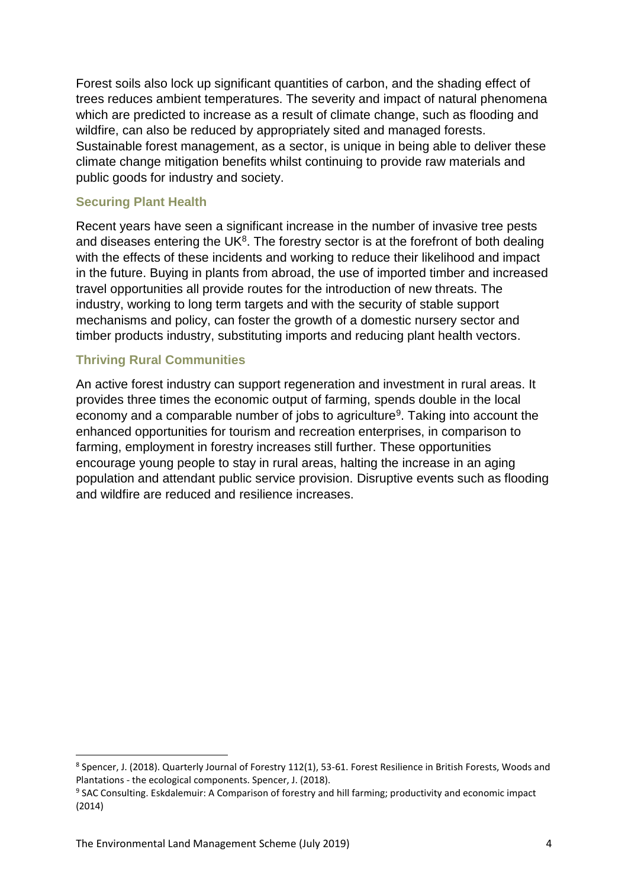Forest soils also lock up significant quantities of carbon, and the shading effect of trees reduces ambient temperatures. The severity and impact of natural phenomena which are predicted to increase as a result of climate change, such as flooding and wildfire, can also be reduced by appropriately sited and managed forests. Sustainable forest management, as a sector, is unique in being able to deliver these climate change mitigation benefits whilst continuing to provide raw materials and public goods for industry and society.

#### **Securing Plant Health**

Recent years have seen a significant increase in the number of invasive tree pests and diseases entering the UK $8$ . The forestry sector is at the forefront of both dealing with the effects of these incidents and working to reduce their likelihood and impact in the future. Buying in plants from abroad, the use of imported timber and increased travel opportunities all provide routes for the introduction of new threats. The industry, working to long term targets and with the security of stable support mechanisms and policy, can foster the growth of a domestic nursery sector and timber products industry, substituting imports and reducing plant health vectors.

#### **Thriving Rural Communities**

An active forest industry can support regeneration and investment in rural areas. It provides three times the economic output of farming, spends double in the local economy and a comparable number of jobs to agriculture<sup>9</sup>. Taking into account the enhanced opportunities for tourism and recreation enterprises, in comparison to farming, employment in forestry increases still further. These opportunities encourage young people to stay in rural areas, halting the increase in an aging population and attendant public service provision. Disruptive events such as flooding and wildfire are reduced and resilience increases.

<sup>&</sup>lt;sup>8</sup> Spencer, J. (2018). Quarterly Journal of Forestry 112(1), 53-61. Forest Resilience in British Forests, Woods and Plantations - the ecological components. Spencer, J. (2018).

<sup>9</sup> SAC Consulting. Eskdalemuir: A Comparison of forestry and hill farming; productivity and economic impact (2014)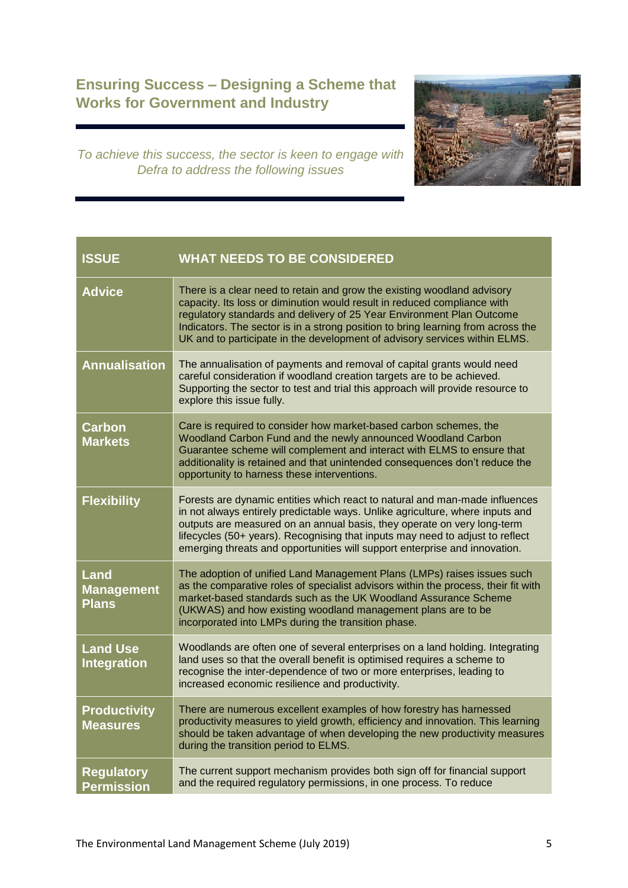# **Ensuring Success – Designing a Scheme that Works for Government and Industry**



*To achieve this success, the sector is keen to engage with Defra to address the following issues*

| <b>ISSUE</b>                              | <b>WHAT NEEDS TO BE CONSIDERED</b>                                                                                                                                                                                                                                                                                                                                                                     |
|-------------------------------------------|--------------------------------------------------------------------------------------------------------------------------------------------------------------------------------------------------------------------------------------------------------------------------------------------------------------------------------------------------------------------------------------------------------|
| <b>Advice</b>                             | There is a clear need to retain and grow the existing woodland advisory<br>capacity. Its loss or diminution would result in reduced compliance with<br>regulatory standards and delivery of 25 Year Environment Plan Outcome<br>Indicators. The sector is in a strong position to bring learning from across the<br>UK and to participate in the development of advisory services within ELMS.         |
| <b>Annualisation</b>                      | The annualisation of payments and removal of capital grants would need<br>careful consideration if woodland creation targets are to be achieved.<br>Supporting the sector to test and trial this approach will provide resource to<br>explore this issue fully.                                                                                                                                        |
| <b>Carbon</b><br><b>Markets</b>           | Care is required to consider how market-based carbon schemes, the<br>Woodland Carbon Fund and the newly announced Woodland Carbon<br>Guarantee scheme will complement and interact with ELMS to ensure that<br>additionality is retained and that unintended consequences don't reduce the<br>opportunity to harness these interventions.                                                              |
| <b>Flexibility</b>                        | Forests are dynamic entities which react to natural and man-made influences<br>in not always entirely predictable ways. Unlike agriculture, where inputs and<br>outputs are measured on an annual basis, they operate on very long-term<br>lifecycles (50+ years). Recognising that inputs may need to adjust to reflect<br>emerging threats and opportunities will support enterprise and innovation. |
| Land<br><b>Management</b><br><b>Plans</b> | The adoption of unified Land Management Plans (LMPs) raises issues such<br>as the comparative roles of specialist advisors within the process, their fit with<br>market-based standards such as the UK Woodland Assurance Scheme<br>(UKWAS) and how existing woodland management plans are to be<br>incorporated into LMPs during the transition phase.                                                |
| <b>Land Use</b><br><b>Integration</b>     | Woodlands are often one of several enterprises on a land holding. Integrating<br>land uses so that the overall benefit is optimised requires a scheme to<br>recognise the inter-dependence of two or more enterprises, leading to<br>increased economic resilience and productivity.                                                                                                                   |
| <b>Productivity</b><br><b>Measures</b>    | There are numerous excellent examples of how forestry has harnessed<br>productivity measures to yield growth, efficiency and innovation. This learning<br>should be taken advantage of when developing the new productivity measures<br>during the transition period to ELMS.                                                                                                                          |
| <b>Regulatory</b><br><b>Permission</b>    | The current support mechanism provides both sign off for financial support<br>and the required regulatory permissions, in one process. To reduce                                                                                                                                                                                                                                                       |